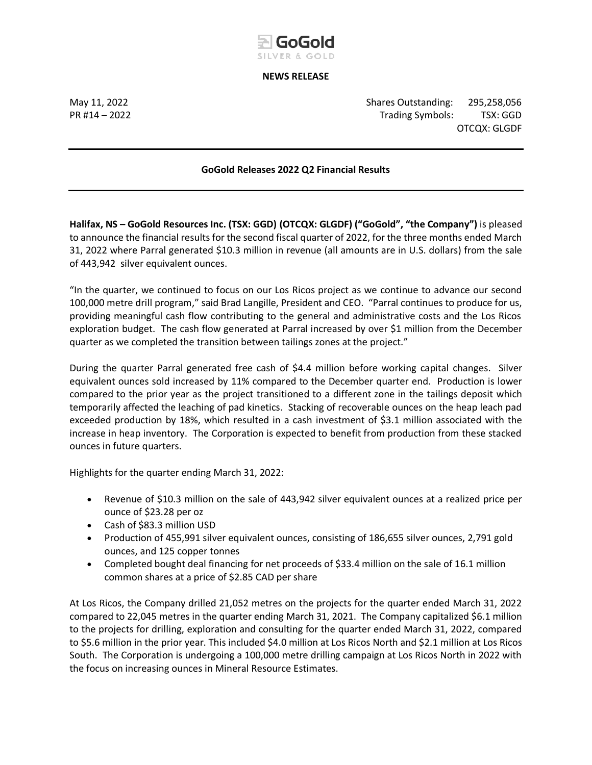

### **NEWS RELEASE**

May 11, 2022 Shares Outstanding: 295,258,056 PR #14 – 2022 Trading Symbols: TSX: GGD OTCQX: GLGDF

## **GoGold Releases 2022 Q2 Financial Results**

**Halifax, NS – GoGold Resources Inc. (TSX: GGD) (OTCQX: GLGDF) ("GoGold", "the Company")** is pleased to announce the financial results for the second fiscal quarter of 2022, for the three months ended March 31, 2022 where Parral generated \$10.3 million in revenue (all amounts are in U.S. dollars) from the sale of 443,942 silver equivalent ounces.

"In the quarter, we continued to focus on our Los Ricos project as we continue to advance our second 100,000 metre drill program," said Brad Langille, President and CEO. "Parral continues to produce for us, providing meaningful cash flow contributing to the general and administrative costs and the Los Ricos exploration budget. The cash flow generated at Parral increased by over \$1 million from the December quarter as we completed the transition between tailings zones at the project."

During the quarter Parral generated free cash of \$4.4 million before working capital changes. Silver equivalent ounces sold increased by 11% compared to the December quarter end. Production is lower compared to the prior year as the project transitioned to a different zone in the tailings deposit which temporarily affected the leaching of pad kinetics. Stacking of recoverable ounces on the heap leach pad exceeded production by 18%, which resulted in a cash investment of \$3.1 million associated with the increase in heap inventory. The Corporation is expected to benefit from production from these stacked ounces in future quarters.

Highlights for the quarter ending March 31, 2022:

- Revenue of \$10.3 million on the sale of 443,942 silver equivalent ounces at a realized price per ounce of \$23.28 per oz
- Cash of \$83.3 million USD
- Production of 455,991 silver equivalent ounces, consisting of 186,655 silver ounces, 2,791 gold ounces, and 125 copper tonnes
- Completed bought deal financing for net proceeds of \$33.4 million on the sale of 16.1 million common shares at a price of \$2.85 CAD per share

At Los Ricos, the Company drilled 21,052 metres on the projects for the quarter ended March 31, 2022 compared to 22,045 metres in the quarter ending March 31, 2021. The Company capitalized \$6.1 million to the projects for drilling, exploration and consulting for the quarter ended March 31, 2022, compared to \$5.6 million in the prior year. This included \$4.0 million at Los Ricos North and \$2.1 million at Los Ricos South. The Corporation is undergoing a 100,000 metre drilling campaign at Los Ricos North in 2022 with the focus on increasing ounces in Mineral Resource Estimates.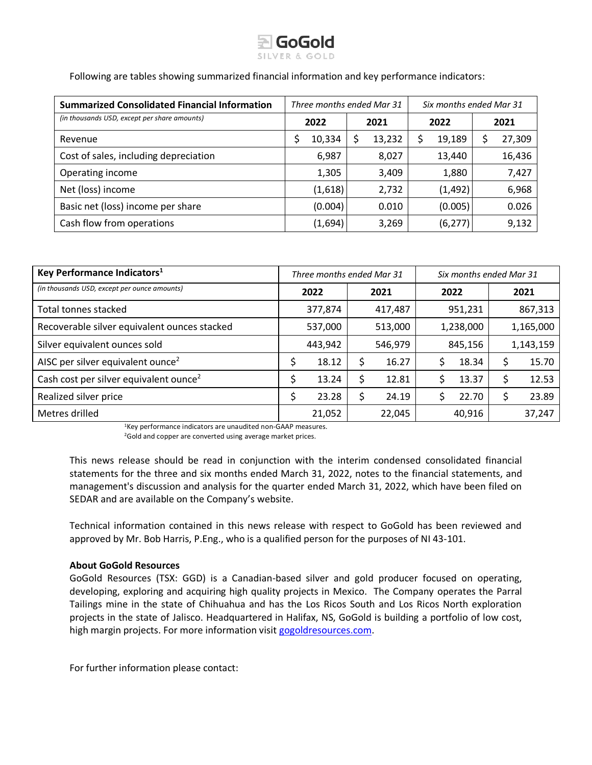

Following are tables showing summarized financial information and key performance indicators:

| <b>Summarized Consolidated Financial Information</b> | Three months ended Mar 31 |         |      |        | Six months ended Mar 31 |          |      |        |
|------------------------------------------------------|---------------------------|---------|------|--------|-------------------------|----------|------|--------|
| (in thousands USD, except per share amounts)         | 2022                      |         | 2021 |        | 2022                    |          | 2021 |        |
| Revenue                                              |                           | 10,334  |      | 13,232 | \$                      | 19,189   | Ş    | 27,309 |
| Cost of sales, including depreciation                |                           | 6,987   |      | 8,027  |                         | 13,440   |      | 16,436 |
| Operating income                                     |                           | 1,305   |      | 3,409  |                         | 1,880    |      | 7,427  |
| Net (loss) income                                    |                           | (1,618) |      | 2,732  |                         | (1, 492) |      | 6,968  |
| Basic net (loss) income per share                    |                           | (0.004) |      | 0.010  |                         | (0.005)  |      | 0.026  |
| Cash flow from operations                            |                           | (1,694) |      | 3,269  |                         | (6, 277) |      | 9,132  |

| Key Performance Indicators <sup>1</sup>            | Three months ended Mar 31 |         |         |         | Six months ended Mar 31 |         |           |         |  |
|----------------------------------------------------|---------------------------|---------|---------|---------|-------------------------|---------|-----------|---------|--|
| (in thousands USD, except per ounce amounts)       | 2022                      |         |         | 2021    |                         | 2022    |           | 2021    |  |
| Total tonnes stacked                               |                           | 377,874 |         | 417,487 |                         | 951,231 |           | 867,313 |  |
| Recoverable silver equivalent ounces stacked       | 537,000                   |         |         | 513,000 | 1,238,000               |         | 1,165,000 |         |  |
| Silver equivalent ounces sold                      | 443,942                   |         | 546,979 |         | 845,156                 |         | 1,143,159 |         |  |
| AISC per silver equivalent ounce <sup>2</sup>      |                           | 18.12   |         | 16.27   |                         | 18.34   |           | 15.70   |  |
| Cash cost per silver equivalent ounce <sup>2</sup> |                           | 13.24   |         | 12.81   |                         | 13.37   |           | 12.53   |  |
| Realized silver price                              |                           | 23.28   | S       | 24.19   |                         | 22.70   |           | 23.89   |  |
| Metres drilled                                     |                           | 21,052  |         | 22,045  |                         | 40,916  |           | 37,247  |  |

<sup>1</sup>Key performance indicators are unaudited non-GAAP measures. <sup>2</sup>Gold and copper are converted using average market prices.

This news release should be read in conjunction with the interim condensed consolidated financial statements for the three and six months ended March 31, 2022, notes to the financial statements, and management's discussion and analysis for the quarter ended March 31, 2022, which have been filed on SEDAR and are available on the Company's website.

Technical information contained in this news release with respect to GoGold has been reviewed and approved by Mr. Bob Harris, P.Eng., who is a qualified person for the purposes of NI 43-101.

## **About GoGold Resources**

GoGold Resources (TSX: GGD) is a Canadian-based silver and gold producer focused on operating, developing, exploring and acquiring high quality projects in Mexico. The Company operates the Parral Tailings mine in the state of Chihuahua and has the Los Ricos South and Los Ricos North exploration projects in the state of Jalisco. Headquartered in Halifax, NS, GoGold is building a portfolio of low cost, high margin projects. For more information visi[t gogoldresources.com.](http://gogoldresources.com/corporate/about-us)

For further information please contact: